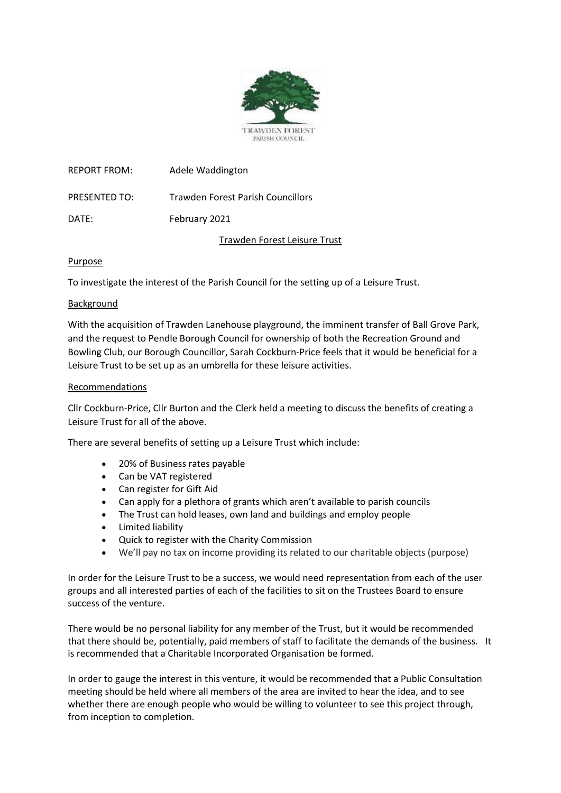

| <b>REPORT FROM:</b> | Adele Waddington                  |
|---------------------|-----------------------------------|
| PRESENTED TO:       | Trawden Forest Parish Councillors |
| DATE:               | February 2021                     |

Trawden Forest Leisure Trust

## Purpose

To investigate the interest of the Parish Council for the setting up of a Leisure Trust.

#### Background

With the acquisition of Trawden Lanehouse playground, the imminent transfer of Ball Grove Park, and the request to Pendle Borough Council for ownership of both the Recreation Ground and Bowling Club, our Borough Councillor, Sarah Cockburn-Price feels that it would be beneficial for a Leisure Trust to be set up as an umbrella for these leisure activities.

#### Recommendations

Cllr Cockburn-Price, Cllr Burton and the Clerk held a meeting to discuss the benefits of creating a Leisure Trust for all of the above.

There are several benefits of setting up a Leisure Trust which include:

- 20% of Business rates payable
- Can be VAT registered
- Can register for Gift Aid
- Can apply for a plethora of grants which aren't available to parish councils
- The Trust can hold leases, own land and buildings and employ people
- Limited liability
- Quick to register with the Charity Commission
- We'll pay no tax on income providing its related to our charitable objects (purpose)

In order for the Leisure Trust to be a success, we would need representation from each of the user groups and all interested parties of each of the facilities to sit on the Trustees Board to ensure success of the venture.

There would be no personal liability for any member of the Trust, but it would be recommended that there should be, potentially, paid members of staff to facilitate the demands of the business. It is recommended that a Charitable Incorporated Organisation be formed.

In order to gauge the interest in this venture, it would be recommended that a Public Consultation meeting should be held where all members of the area are invited to hear the idea, and to see whether there are enough people who would be willing to volunteer to see this project through, from inception to completion.